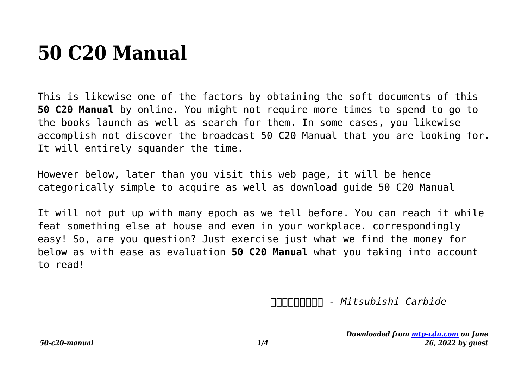# **50 C20 Manual**

This is likewise one of the factors by obtaining the soft documents of this **50 C20 Manual** by online. You might not require more times to spend to go to the books launch as well as search for them. In some cases, you likewise accomplish not discover the broadcast 50 C20 Manual that you are looking for. It will entirely squander the time.

However below, later than you visit this web page, it will be hence categorically simple to acquire as well as download guide 50 C20 Manual

It will not put up with many epoch as we tell before. You can reach it while feat something else at house and even in your workplace. correspondingly easy! So, are you question? Just exercise just what we find the money for below as with ease as evaluation **50 C20 Manual** what you taking into account to read!

*金属材料代号对照表 - Mitsubishi Carbide*

*Downloaded from [mtp-cdn.com](https://mtp-cdn.com) on June 26, 2022 by guest*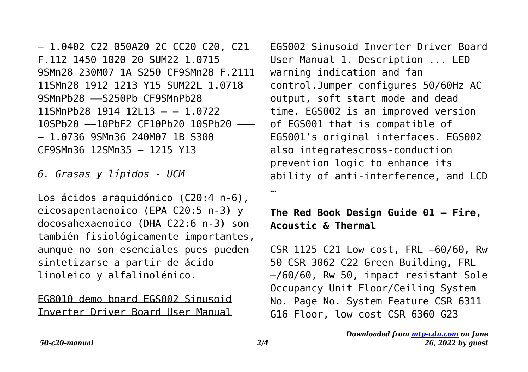– 1.0402 C22 050A20 2C CC20 C20, C21 F.112 1450 1020 20 SUM22 1.0715 9SMn28 230M07 1A S250 CF9SMn28 F.2111 11SMn28 1912 1213 Y15 SUM22L 1.0718 9SMnPb28 ––S250Pb CF9SMnPb28 11SMnPb28 1914 12L13 – – 1.0722 10SPb20 ––10PbF2 CF10Pb20 10SPb20 ––– – 1.0736 9SMn36 240M07 1B S300 CF9SMn36 12SMn35 – 1215 Y13

*6. Grasas y lípidos - UCM*

Los ácidos araquidónico (C20:4 n‐6), eicosapentaenoico (EPA C20:5 n‐3) y docosahexaenoico (DHA C22:6 n‐3) son también fisiológicamente importantes, aunque no son esenciales pues pueden sintetizarse a partir de ácido linoleico y alfalinolénico.

EG8010 demo board EGS002 Sinusoid Inverter Driver Board User Manual

EGS002 Sinusoid Inverter Driver Board User Manual 1. Description ... LED warning indication and fan control.Jumper configures 50/60Hz AC output, soft start mode and dead time. EGS002 is an improved version of EGS001 that is compatible of EGS001's original interfaces. EGS002 also integratescross-conduction prevention logic to enhance its ability of anti-interference, and LCD

…

#### **The Red Book Design Guide 01 – Fire, Acoustic & Thermal**

CSR 1125 C21 Low cost, FRL –60/60, Rw 50 CSR 3062 C22 Green Building, FRL –/60/60, Rw 50, impact resistant Sole Occupancy Unit Floor/Ceiling System No. Page No. System Feature CSR 6311 G16 Floor, low cost CSR 6360 G23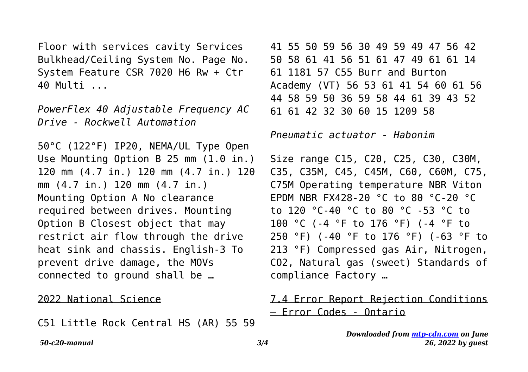Floor with services cavity Services Bulkhead/Ceiling System No. Page No. System Feature CSR 7020 H6 Rw + Ctr 40 Multi ...

*PowerFlex 40 Adjustable Frequency AC Drive - Rockwell Automation*

50°C (122°F) IP20, NEMA/UL Type Open Use Mounting Option B 25 mm (1.0 in.) 120 mm (4.7 in.) 120 mm (4.7 in.) 120 mm (4.7 in.) 120 mm (4.7 in.) Mounting Option A No clearance required between drives. Mounting Option B Closest object that may restrict air flow through the drive heat sink and chassis. English-3 To prevent drive damage, the MOVs connected to ground shall be …

#### 2022 National Science

C51 Little Rock Central HS (AR) 55 59

41 55 50 59 56 30 49 59 49 47 56 42 50 58 61 41 56 51 61 47 49 61 61 14 61 1181 57 C55 Burr and Burton Academy (VT) 56 53 61 41 54 60 61 56 44 58 59 50 36 59 58 44 61 39 43 52 61 61 42 32 30 60 15 1209 58

*Pneumatic actuator - Habonim*

Size range C15, C20, C25, C30, C30M, C35, C35M, C45, C45M, C60, C60M, C75, C75M Operating temperature NBR Viton EPDM NBR FX428-20 °C to 80 °C-20 °C to 120 °C-40 °C to 80 °C -53 °C to 100 °C (-4 °F to 176 °F) (-4 °F to 250 °F) (-40 °F to 176 °F) (-63 °F to 213 °F) Compressed gas Air, Nitrogen, CO2, Natural gas (sweet) Standards of compliance Factory …

### 7.4 Error Report Rejection Conditions – Error Codes - Ontario

*Downloaded from [mtp-cdn.com](https://mtp-cdn.com) on June 26, 2022 by guest*

*50-c20-manual 3/4*